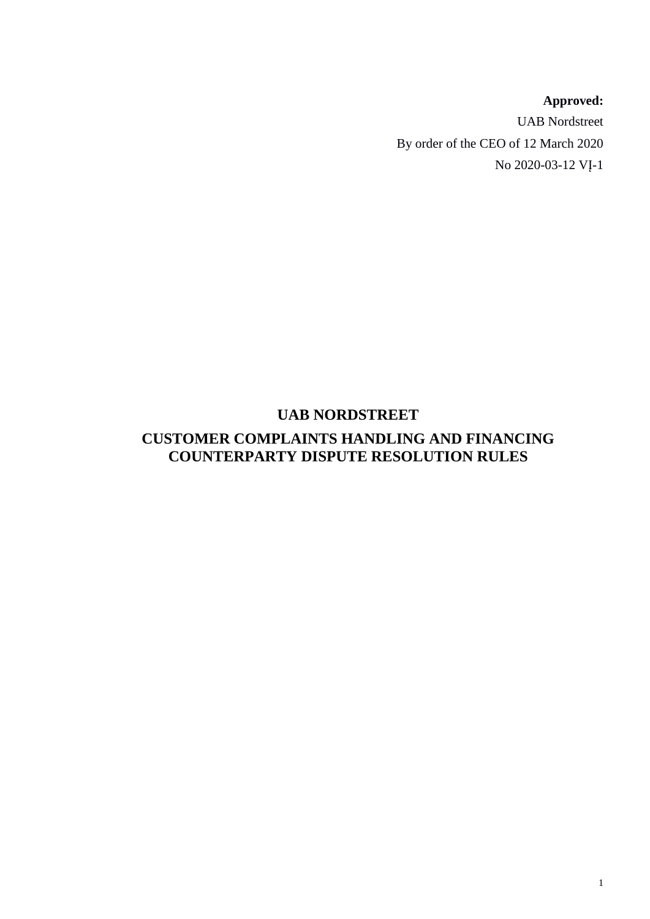# **Approved:**

UAB Nordstreet By order of the CEO of 12 March 2020 No 2020-03-12 VĮ-1

# **UAB NORDSTREET**

# **CUSTOMER COMPLAINTS HANDLING AND FINANCING COUNTERPARTY DISPUTE RESOLUTION RULES**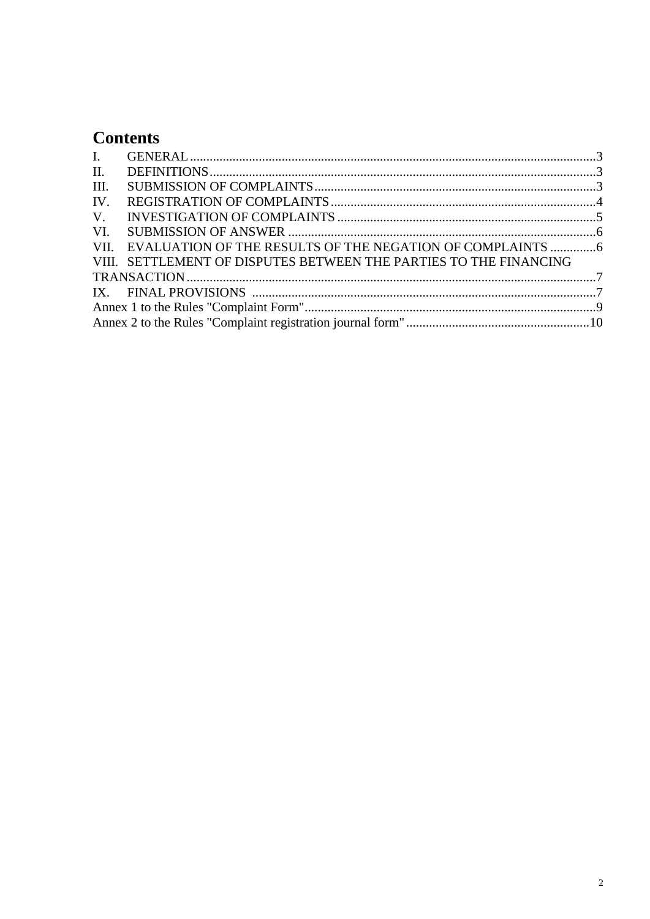# **Contents**

| $\mathbf{I}$ . |                                                                   |  |  |  |  |  |
|----------------|-------------------------------------------------------------------|--|--|--|--|--|
| II.            |                                                                   |  |  |  |  |  |
| III.           |                                                                   |  |  |  |  |  |
| IV.            |                                                                   |  |  |  |  |  |
|                |                                                                   |  |  |  |  |  |
|                |                                                                   |  |  |  |  |  |
|                | VII. EVALUATION OF THE RESULTS OF THE NEGATION OF COMPLAINTS 6    |  |  |  |  |  |
|                | VIII. SETTLEMENT OF DISPUTES BETWEEN THE PARTIES TO THE FINANCING |  |  |  |  |  |
|                |                                                                   |  |  |  |  |  |
|                |                                                                   |  |  |  |  |  |
|                |                                                                   |  |  |  |  |  |
|                |                                                                   |  |  |  |  |  |
|                |                                                                   |  |  |  |  |  |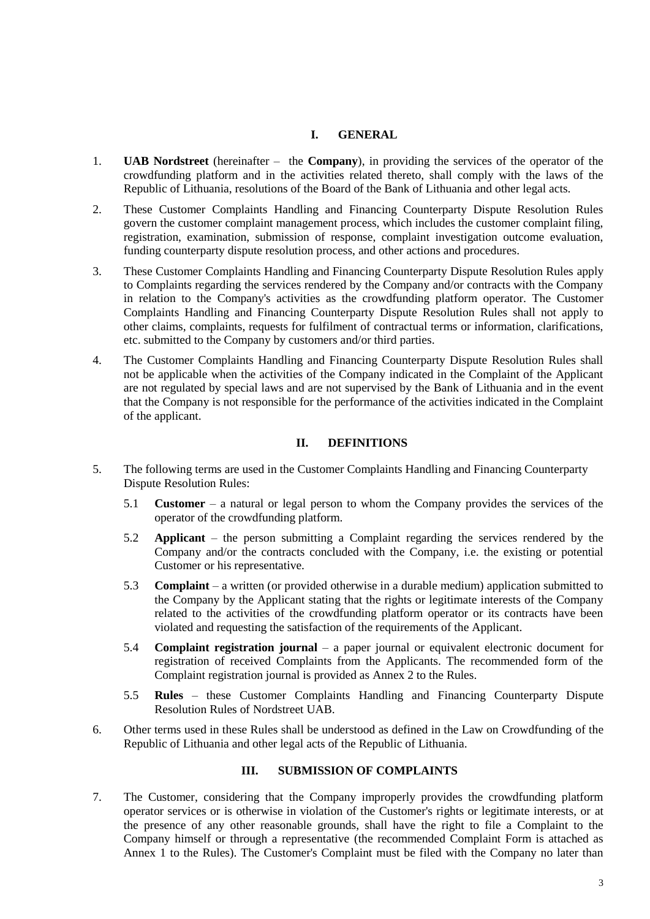### **I. GENERAL**

- 1. **UAB Nordstreet** (hereinafter the **Company**), in providing the services of the operator of the crowdfunding platform and in the activities related thereto, shall comply with the laws of the Republic of Lithuania, resolutions of the Board of the Bank of Lithuania and other legal acts.
- 2. These Customer Complaints Handling and Financing Counterparty Dispute Resolution Rules govern the customer complaint management process, which includes the customer complaint filing, registration, examination, submission of response, complaint investigation outcome evaluation, funding counterparty dispute resolution process, and other actions and procedures.
- 3. These Customer Complaints Handling and Financing Counterparty Dispute Resolution Rules apply to Complaints regarding the services rendered by the Company and/or contracts with the Company in relation to the Company's activities as the crowdfunding platform operator. The Customer Complaints Handling and Financing Counterparty Dispute Resolution Rules shall not apply to other claims, complaints, requests for fulfilment of contractual terms or information, clarifications, etc. submitted to the Company by customers and/or third parties.
- 4. The Customer Complaints Handling and Financing Counterparty Dispute Resolution Rules shall not be applicable when the activities of the Company indicated in the Complaint of the Applicant are not regulated by special laws and are not supervised by the Bank of Lithuania and in the event that the Company is not responsible for the performance of the activities indicated in the Complaint of the applicant.

### **II. DEFINITIONS**

- 5. The following terms are used in the Customer Complaints Handling and Financing Counterparty Dispute Resolution Rules:
	- 5.1 **Customer** a natural or legal person to whom the Company provides the services of the operator of the crowdfunding platform.
	- 5.2 **Applicant** the person submitting a Complaint regarding the services rendered by the Company and/or the contracts concluded with the Company, i.e. the existing or potential Customer or his representative.
	- 5.3 **Complaint** a written (or provided otherwise in a durable medium) application submitted to the Company by the Applicant stating that the rights or legitimate interests of the Company related to the activities of the crowdfunding platform operator or its contracts have been violated and requesting the satisfaction of the requirements of the Applicant.
	- 5.4 **Complaint registration journal** a paper journal or equivalent electronic document for registration of received Complaints from the Applicants. The recommended form of the Complaint registration journal is provided as Annex 2 to the Rules.
	- 5.5 **Rules** these Customer Complaints Handling and Financing Counterparty Dispute Resolution Rules of Nordstreet UAB.
- 6. Other terms used in these Rules shall be understood as defined in the Law on Crowdfunding of the Republic of Lithuania and other legal acts of the Republic of Lithuania.

# **III. SUBMISSION OF COMPLAINTS**

7. The Customer, considering that the Company improperly provides the crowdfunding platform operator services or is otherwise in violation of the Customer's rights or legitimate interests, or at the presence of any other reasonable grounds, shall have the right to file a Complaint to the Company himself or through a representative (the recommended Complaint Form is attached as Annex 1 to the Rules). The Customer's Complaint must be filed with the Company no later than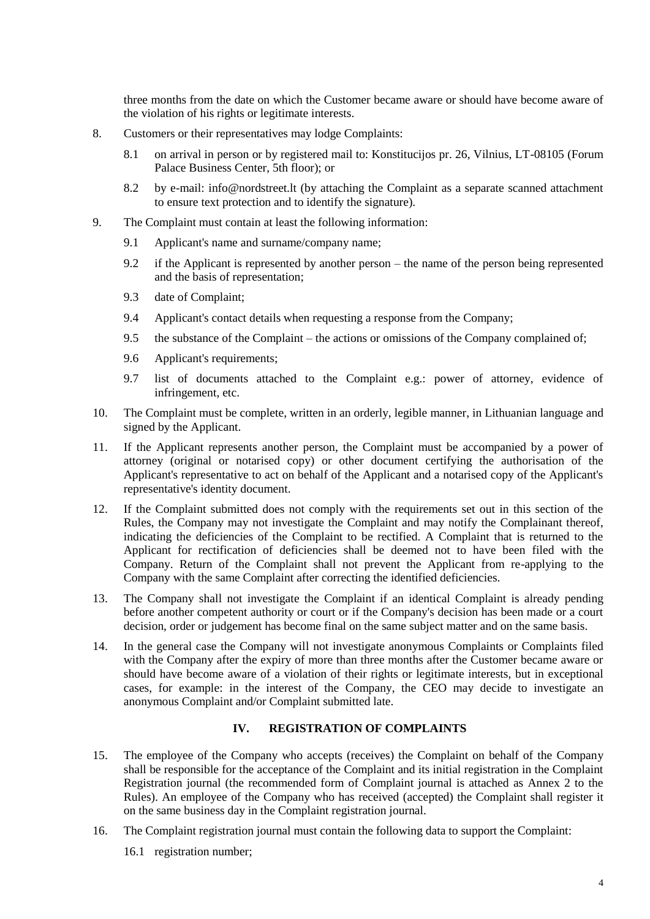three months from the date on which the Customer became aware or should have become aware of the violation of his rights or legitimate interests.

- 8. Customers or their representatives may lodge Complaints:
	- 8.1 on arrival in person or by registered mail to: Konstitucijos pr. 26, Vilnius, LT-08105 (Forum Palace Business Center, 5th floor); or
	- 8.2 by e-mail: info@nordstreet.lt (by attaching the Complaint as a separate scanned attachment to ensure text protection and to identify the signature).
- 9. The Complaint must contain at least the following information:
	- 9.1 Applicant's name and surname/company name;
	- 9.2 if the Applicant is represented by another person the name of the person being represented and the basis of representation;
	- 9.3 date of Complaint;
	- 9.4 Applicant's contact details when requesting a response from the Company;
	- 9.5 the substance of the Complaint the actions or omissions of the Company complained of;
	- 9.6 Applicant's requirements;
	- 9.7 list of documents attached to the Complaint e.g.: power of attorney, evidence of infringement, etc.
- 10. The Complaint must be complete, written in an orderly, legible manner, in Lithuanian language and signed by the Applicant.
- 11. If the Applicant represents another person, the Complaint must be accompanied by a power of attorney (original or notarised copy) or other document certifying the authorisation of the Applicant's representative to act on behalf of the Applicant and a notarised copy of the Applicant's representative's identity document.
- 12. If the Complaint submitted does not comply with the requirements set out in this section of the Rules, the Company may not investigate the Complaint and may notify the Complainant thereof, indicating the deficiencies of the Complaint to be rectified. A Complaint that is returned to the Applicant for rectification of deficiencies shall be deemed not to have been filed with the Company. Return of the Complaint shall not prevent the Applicant from re-applying to the Company with the same Complaint after correcting the identified deficiencies.
- 13. The Company shall not investigate the Complaint if an identical Complaint is already pending before another competent authority or court or if the Company's decision has been made or a court decision, order or judgement has become final on the same subject matter and on the same basis.
- 14. In the general case the Company will not investigate anonymous Complaints or Complaints filed with the Company after the expiry of more than three months after the Customer became aware or should have become aware of a violation of their rights or legitimate interests, but in exceptional cases, for example: in the interest of the Company, the CEO may decide to investigate an anonymous Complaint and/or Complaint submitted late.

# **IV. REGISTRATION OF COMPLAINTS**

- 15. The employee of the Company who accepts (receives) the Complaint on behalf of the Company shall be responsible for the acceptance of the Complaint and its initial registration in the Complaint Registration journal (the recommended form of Complaint journal is attached as Annex 2 to the Rules). An employee of the Company who has received (accepted) the Complaint shall register it on the same business day in the Complaint registration journal.
- 16. The Complaint registration journal must contain the following data to support the Complaint:
	- 16.1 registration number;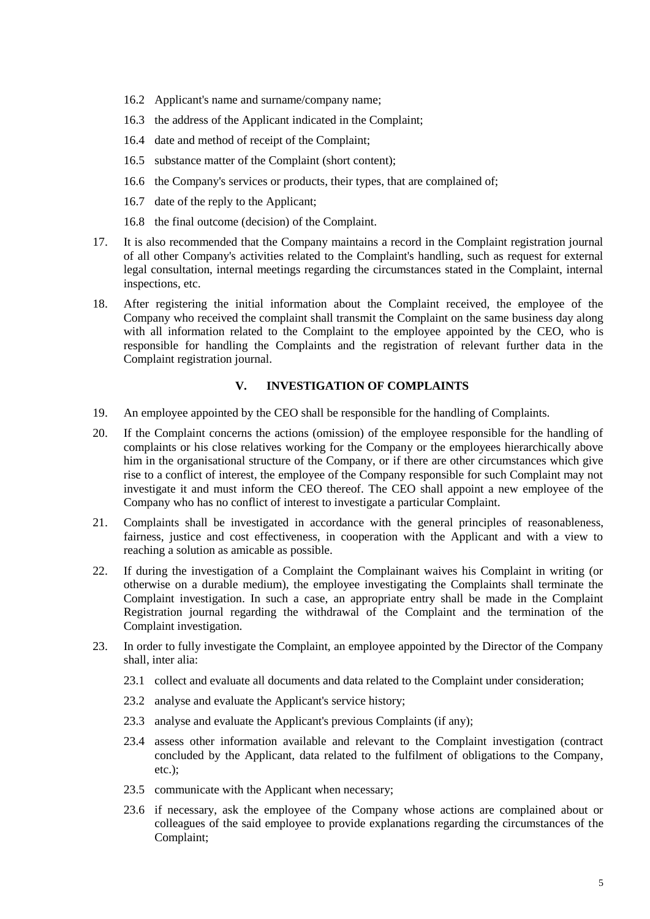- 16.2 Applicant's name and surname/company name;
- 16.3 the address of the Applicant indicated in the Complaint;
- 16.4 date and method of receipt of the Complaint;
- 16.5 substance matter of the Complaint (short content);
- 16.6 the Company's services or products, their types, that are complained of;
- 16.7 date of the reply to the Applicant;
- 16.8 the final outcome (decision) of the Complaint.
- 17. It is also recommended that the Company maintains a record in the Complaint registration journal of all other Company's activities related to the Complaint's handling, such as request for external legal consultation, internal meetings regarding the circumstances stated in the Complaint, internal inspections, etc.
- 18. After registering the initial information about the Complaint received, the employee of the Company who received the complaint shall transmit the Complaint on the same business day along with all information related to the Complaint to the employee appointed by the CEO, who is responsible for handling the Complaints and the registration of relevant further data in the Complaint registration journal.

## **V. INVESTIGATION OF COMPLAINTS**

- 19. An employee appointed by the CEO shall be responsible for the handling of Complaints.
- 20. If the Complaint concerns the actions (omission) of the employee responsible for the handling of complaints or his close relatives working for the Company or the employees hierarchically above him in the organisational structure of the Company, or if there are other circumstances which give rise to a conflict of interest, the employee of the Company responsible for such Complaint may not investigate it and must inform the CEO thereof. The CEO shall appoint a new employee of the Company who has no conflict of interest to investigate a particular Complaint.
- 21. Complaints shall be investigated in accordance with the general principles of reasonableness, fairness, justice and cost effectiveness, in cooperation with the Applicant and with a view to reaching a solution as amicable as possible.
- 22. If during the investigation of a Complaint the Complainant waives his Complaint in writing (or otherwise on a durable medium), the employee investigating the Complaints shall terminate the Complaint investigation. In such a case, an appropriate entry shall be made in the Complaint Registration journal regarding the withdrawal of the Complaint and the termination of the Complaint investigation.
- 23. In order to fully investigate the Complaint, an employee appointed by the Director of the Company shall, inter alia:
	- 23.1 collect and evaluate all documents and data related to the Complaint under consideration;
	- 23.2 analyse and evaluate the Applicant's service history;
	- 23.3 analyse and evaluate the Applicant's previous Complaints (if any);
	- 23.4 assess other information available and relevant to the Complaint investigation (contract concluded by the Applicant, data related to the fulfilment of obligations to the Company, etc.);
	- 23.5 communicate with the Applicant when necessary;
	- 23.6 if necessary, ask the employee of the Company whose actions are complained about or colleagues of the said employee to provide explanations regarding the circumstances of the Complaint;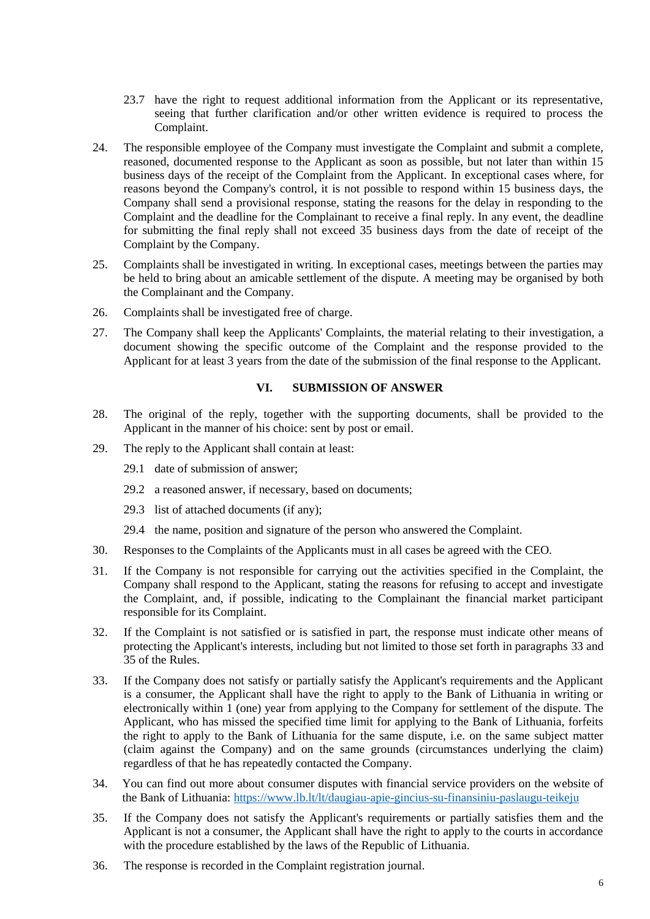- 23.7 have the right to request additional information from the Applicant or its representative, seeing that further clarification and/or other written evidence is required to process the Complaint.
- 24. The responsible employee of the Company must investigate the Complaint and submit a complete, reasoned, documented response to the Applicant as soon as possible, but not later than within 15 business days of the receipt of the Complaint from the Applicant. In exceptional cases where, for reasons beyond the Company's control, it is not possible to respond within 15 business days, the Company shall send a provisional response, stating the reasons for the delay in responding to the Complaint and the deadline for the Complainant to receive a final reply. In any event, the deadline for submitting the final reply shall not exceed 35 business days from the date of receipt of the Complaint by the Company.
- 25. Complaints shall be investigated in writing. In exceptional cases, meetings between the parties may be held to bring about an amicable settlement of the dispute. A meeting may be organised by both the Complainant and the Company.
- 26. Complaints shall be investigated free of charge.
- 27. The Company shall keep the Applicants' Complaints, the material relating to their investigation, a document showing the specific outcome of the Complaint and the response provided to the Applicant for at least 3 years from the date of the submission of the final response to the Applicant.

## **VI. SUBMISSION OF ANSWER**

- 28. The original of the reply, together with the supporting documents, shall be provided to the Applicant in the manner of his choice: sent by post or email.
- 29. The reply to the Applicant shall contain at least:
	- 29.1 date of submission of answer;
	- 29.2 a reasoned answer, if necessary, based on documents;
	- 29.3 list of attached documents (if any);
	- 29.4 the name, position and signature of the person who answered the Complaint.
- 30. Responses to the Complaints of the Applicants must in all cases be agreed with the CEO.
- 31. If the Company is not responsible for carrying out the activities specified in the Complaint, the Company shall respond to the Applicant, stating the reasons for refusing to accept and investigate the Complaint, and, if possible, indicating to the Complainant the financial market participant responsible for its Complaint.
- 32. If the Complaint is not satisfied or is satisfied in part, the response must indicate other means of protecting the Applicant's interests, including but not limited to those set forth in paragraphs [33](#page-5-0) and [35](#page-5-1) of the Rules.
- <span id="page-5-0"></span>33. If the Company does not satisfy or partially satisfy the Applicant's requirements and the Applicant is a consumer, the Applicant shall have the right to apply to the Bank of Lithuania in writing or electronically within 1 (one) year from applying to the Company for settlement of the dispute. The Applicant, who has missed the specified time limit for applying to the Bank of Lithuania, forfeits the right to apply to the Bank of Lithuania for the same dispute, i.e. on the same subject matter (claim against the Company) and on the same grounds (circumstances underlying the claim) regardless of that he has repeatedly contacted the Company.
- 34. You can find out more about consumer disputes with financial service providers on the website of the Bank of Lithuania:<https://www.lb.lt/lt/daugiau-apie-gincius-su-finansiniu-paslaugu-teikeju>
- <span id="page-5-1"></span>35. If the Company does not satisfy the Applicant's requirements or partially satisfies them and the Applicant is not a consumer, the Applicant shall have the right to apply to the courts in accordance with the procedure established by the laws of the Republic of Lithuania.
- 36. The response is recorded in the Complaint registration journal.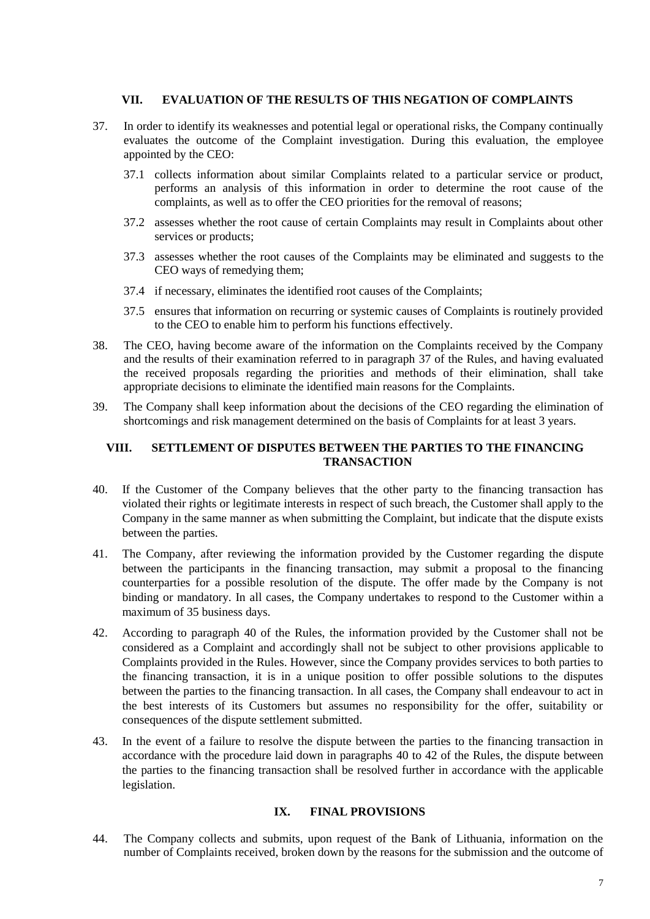#### **VII. EVALUATION OF THE RESULTS OF THIS NEGATION OF COMPLAINTS**

- <span id="page-6-0"></span>37. In order to identify its weaknesses and potential legal or operational risks, the Company continually evaluates the outcome of the Complaint investigation. During this evaluation, the employee appointed by the CEO:
	- 37.1 collects information about similar Complaints related to a particular service or product, performs an analysis of this information in order to determine the root cause of the complaints, as well as to offer the CEO priorities for the removal of reasons;
	- 37.2 assesses whether the root cause of certain Complaints may result in Complaints about other services or products;
	- 37.3 assesses whether the root causes of the Complaints may be eliminated and suggests to the CEO ways of remedying them;
	- 37.4 if necessary, eliminates the identified root causes of the Complaints;
	- 37.5 ensures that information on recurring or systemic causes of Complaints is routinely provided to the CEO to enable him to perform his functions effectively.
- 38. The CEO, having become aware of the information on the Complaints received by the Company and the results of their examination referred to in paragraph [37](#page-6-0) of the Rules, and having evaluated the received proposals regarding the priorities and methods of their elimination, shall take appropriate decisions to eliminate the identified main reasons for the Complaints.
- 39. The Company shall keep information about the decisions of the CEO regarding the elimination of shortcomings and risk management determined on the basis of Complaints for at least 3 years.

### **VIII. SETTLEMENT OF DISPUTES BETWEEN THE PARTIES TO THE FINANCING TRANSACTION**

- <span id="page-6-1"></span>40. If the Customer of the Company believes that the other party to the financing transaction has violated their rights or legitimate interests in respect of such breach, the Customer shall apply to the Company in the same manner as when submitting the Complaint, but indicate that the dispute exists between the parties.
- 41. The Company, after reviewing the information provided by the Customer regarding the dispute between the participants in the financing transaction, may submit a proposal to the financing counterparties for a possible resolution of the dispute. The offer made by the Company is not binding or mandatory. In all cases, the Company undertakes to respond to the Customer within a maximum of 35 business days.
- <span id="page-6-2"></span>42. According to paragraph [40](#page-6-1) of the Rules, the information provided by the Customer shall not be considered as a Complaint and accordingly shall not be subject to other provisions applicable to Complaints provided in the Rules. However, since the Company provides services to both parties to the financing transaction, it is in a unique position to offer possible solutions to the disputes between the parties to the financing transaction. In all cases, the Company shall endeavour to act in the best interests of its Customers but assumes no responsibility for the offer, suitability or consequences of the dispute settlement submitted.
- 43. In the event of a failure to resolve the dispute between the parties to the financing transaction in accordance with the procedure laid down in paragraphs [40](#page-6-1) to [42](#page-6-2) of the Rules, the dispute between the parties to the financing transaction shall be resolved further in accordance with the applicable legislation.

#### **IX. FINAL PROVISIONS**

44. The Company collects and submits, upon request of the Bank of Lithuania, information on the number of Complaints received, broken down by the reasons for the submission and the outcome of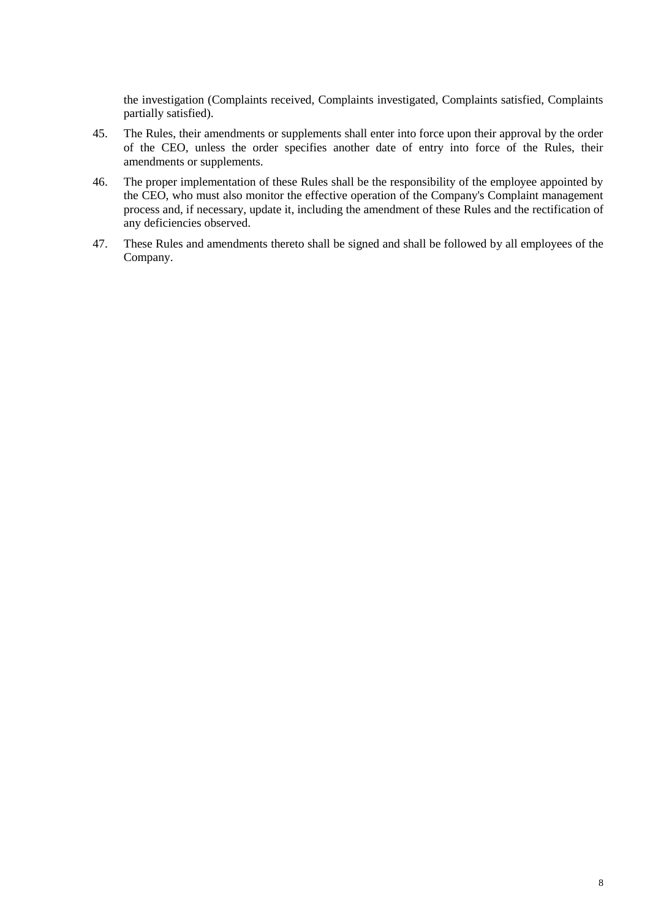the investigation (Complaints received, Complaints investigated, Complaints satisfied, Complaints partially satisfied).

- 45. The Rules, their amendments or supplements shall enter into force upon their approval by the order of the CEO, unless the order specifies another date of entry into force of the Rules, their amendments or supplements.
- 46. The proper implementation of these Rules shall be the responsibility of the employee appointed by the CEO, who must also monitor the effective operation of the Company's Complaint management process and, if necessary, update it, including the amendment of these Rules and the rectification of any deficiencies observed.
- 47. These Rules and amendments thereto shall be signed and shall be followed by all employees of the Company.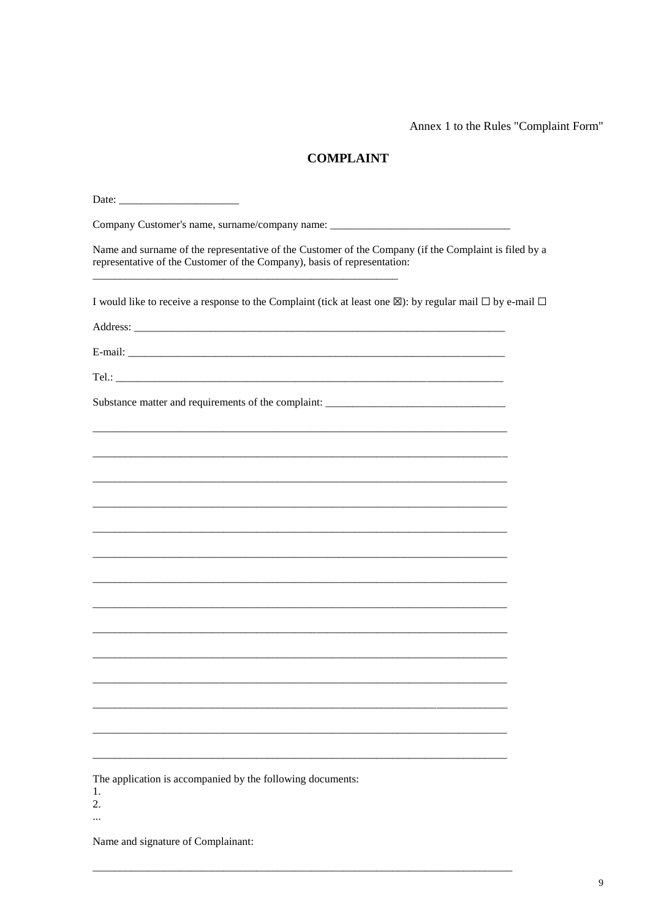Annex 1 to the Rules "Complaint Form"

# **COMPLAINT**

| Company Customer's name, surname/company name: __________________________________                                                                                                 |  |  |  |  |  |  |  |  |  |
|-----------------------------------------------------------------------------------------------------------------------------------------------------------------------------------|--|--|--|--|--|--|--|--|--|
| Name and surname of the representative of the Customer of the Company (if the Complaint is filed by a<br>representative of the Customer of the Company), basis of representation: |  |  |  |  |  |  |  |  |  |
| I would like to receive a response to the Complaint (tick at least one $\boxtimes$ ): by regular mail $\square$ by e-mail $\square$                                               |  |  |  |  |  |  |  |  |  |
|                                                                                                                                                                                   |  |  |  |  |  |  |  |  |  |
|                                                                                                                                                                                   |  |  |  |  |  |  |  |  |  |
|                                                                                                                                                                                   |  |  |  |  |  |  |  |  |  |
| Substance matter and requirements of the complaint: _____________________________                                                                                                 |  |  |  |  |  |  |  |  |  |
|                                                                                                                                                                                   |  |  |  |  |  |  |  |  |  |
|                                                                                                                                                                                   |  |  |  |  |  |  |  |  |  |
|                                                                                                                                                                                   |  |  |  |  |  |  |  |  |  |
|                                                                                                                                                                                   |  |  |  |  |  |  |  |  |  |
|                                                                                                                                                                                   |  |  |  |  |  |  |  |  |  |
|                                                                                                                                                                                   |  |  |  |  |  |  |  |  |  |
|                                                                                                                                                                                   |  |  |  |  |  |  |  |  |  |
|                                                                                                                                                                                   |  |  |  |  |  |  |  |  |  |
|                                                                                                                                                                                   |  |  |  |  |  |  |  |  |  |
|                                                                                                                                                                                   |  |  |  |  |  |  |  |  |  |
|                                                                                                                                                                                   |  |  |  |  |  |  |  |  |  |
|                                                                                                                                                                                   |  |  |  |  |  |  |  |  |  |
|                                                                                                                                                                                   |  |  |  |  |  |  |  |  |  |
|                                                                                                                                                                                   |  |  |  |  |  |  |  |  |  |
| The application is accompanied by the following documents:<br>1.<br>2.                                                                                                            |  |  |  |  |  |  |  |  |  |
|                                                                                                                                                                                   |  |  |  |  |  |  |  |  |  |

Name and signature of Complainant: